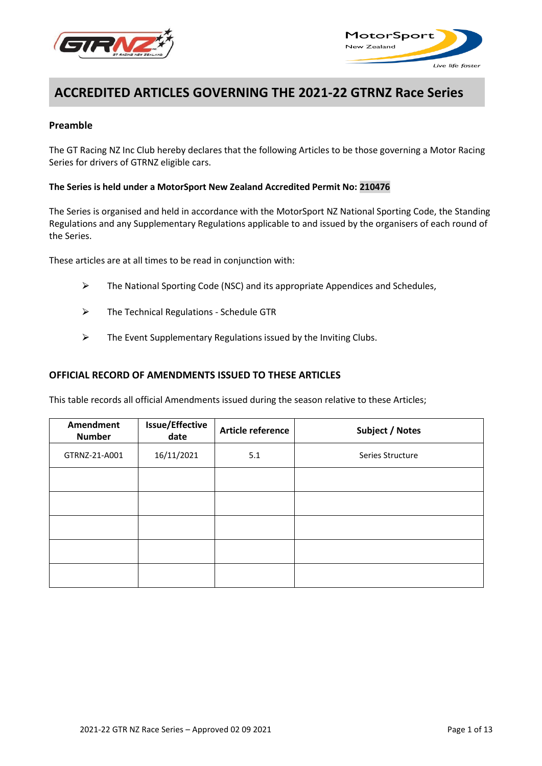



# **ACCREDITED ARTICLES GOVERNING THE 2021-22 GTRNZ Race Series**

# **Preamble**

The GT Racing NZ Inc Club hereby declares that the following Articles to be those governing a Motor Racing Series for drivers of GTRNZ eligible cars.

#### **The Series is held under a MotorSport New Zealand Accredited Permit No: 210476**

The Series is organised and held in accordance with the MotorSport NZ National Sporting Code, the Standing Regulations and any Supplementary Regulations applicable to and issued by the organisers of each round of the Series.

These articles are at all times to be read in conjunction with:

- $\triangleright$  The National Sporting Code (NSC) and its appropriate Appendices and Schedules,
- $\triangleright$  The Technical Regulations Schedule GTR
- $\triangleright$  The Event Supplementary Regulations issued by the Inviting Clubs.

#### **OFFICIAL RECORD OF AMENDMENTS ISSUED TO THESE ARTICLES**

This table records all official Amendments issued during the season relative to these Articles;

| <b>Amendment</b><br><b>Number</b> | <b>Issue/Effective</b><br>date | Article reference | Subject / Notes  |
|-----------------------------------|--------------------------------|-------------------|------------------|
| GTRNZ-21-A001                     | 16/11/2021                     | 5.1               | Series Structure |
|                                   |                                |                   |                  |
|                                   |                                |                   |                  |
|                                   |                                |                   |                  |
|                                   |                                |                   |                  |
|                                   |                                |                   |                  |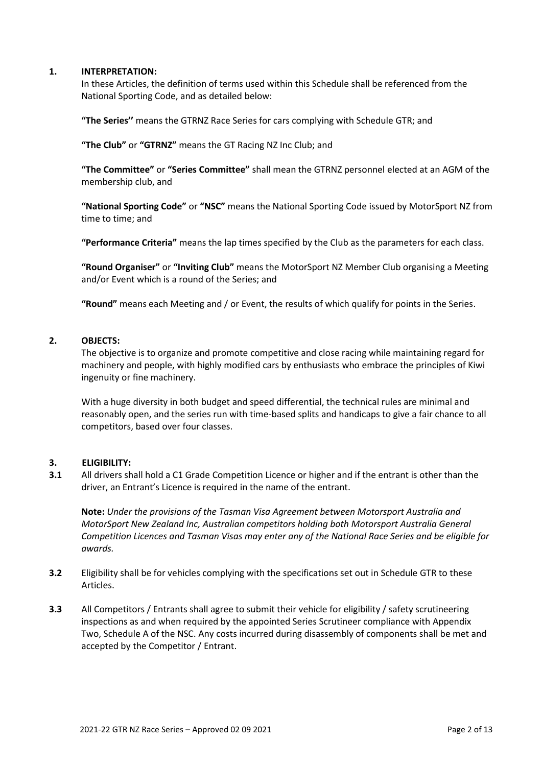#### **1. INTERPRETATION:**

In these Articles, the definition of terms used within this Schedule shall be referenced from the National Sporting Code, and as detailed below:

**"The Series''** means the GTRNZ Race Series for cars complying with Schedule GTR; and

**"The Club"** or **"GTRNZ"** means the GT Racing NZ Inc Club; and

**"The Committee"** or **"Series Committee"** shall mean the GTRNZ personnel elected at an AGM of the membership club, and

**"National Sporting Code"** or **"NSC"** means the National Sporting Code issued by MotorSport NZ from time to time; and

**"Performance Criteria"** means the lap times specified by the Club as the parameters for each class.

**"Round Organiser"** or **"Inviting Club"** means the MotorSport NZ Member Club organising a Meeting and/or Event which is a round of the Series; and

**"Round"** means each Meeting and / or Event, the results of which qualify for points in the Series.

#### **2. OBJECTS:**

The objective is to organize and promote competitive and close racing while maintaining regard for machinery and people, with highly modified cars by enthusiasts who embrace the principles of Kiwi ingenuity or fine machinery.

With a huge diversity in both budget and speed differential, the technical rules are minimal and reasonably open, and the series run with time-based splits and handicaps to give a fair chance to all competitors, based over four classes.

#### **3. ELIGIBILITY:**

**3.1** All drivers shall hold a C1 Grade Competition Licence or higher and if the entrant is other than the driver, an Entrant's Licence is required in the name of the entrant.

**Note:** *Under the provisions of the Tasman Visa Agreement between Motorsport Australia and MotorSport New Zealand Inc, Australian competitors holding both Motorsport Australia General Competition Licences and Tasman Visas may enter any of the National Race Series and be eligible for awards.*

- **3.2** Eligibility shall be for vehicles complying with the specifications set out in Schedule GTR to these Articles.
- **3.3** All Competitors / Entrants shall agree to submit their vehicle for eligibility / safety scrutineering inspections as and when required by the appointed Series Scrutineer compliance with Appendix Two, Schedule A of the NSC. Any costs incurred during disassembly of components shall be met and accepted by the Competitor / Entrant.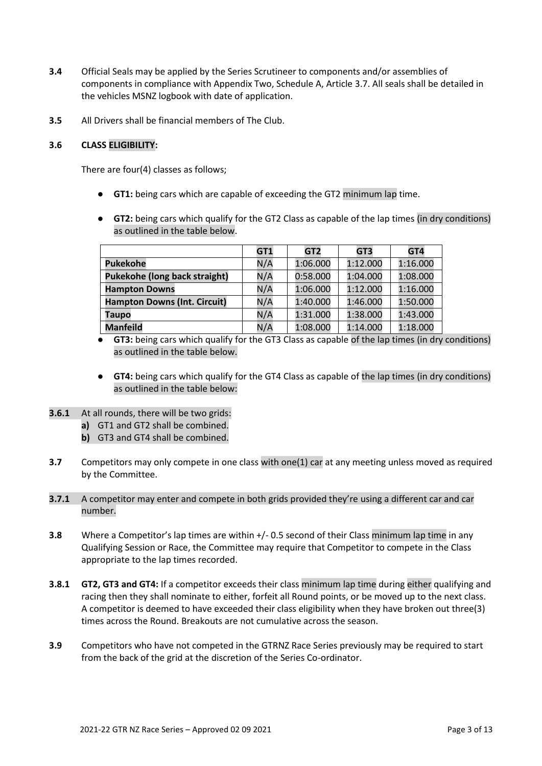- **3.4** Official Seals may be applied by the Series Scrutineer to components and/or assemblies of components in compliance with Appendix Two, Schedule A, Article 3.7. All seals shall be detailed in the vehicles MSNZ logbook with date of application.
- **3.5** All Drivers shall be financial members of The Club.

# **3.6 CLASS ELIGIBILITY:**

There are four(4) classes as follows;

- **GT1:** being cars which are capable of exceeding the GT2 minimum lap time.
- **GT2:** being cars which qualify for the GT2 Class as capable of the lap times (in dry conditions) as outlined in the table below.

|                                      | GT1 | GT <sub>2</sub> | GT3      | GT4      |
|--------------------------------------|-----|-----------------|----------|----------|
| <b>Pukekohe</b>                      | N/A | 1:06.000        | 1:12.000 | 1:16.000 |
| <b>Pukekohe (long back straight)</b> | N/A | 0:58.000        | 1:04.000 | 1:08.000 |
| <b>Hampton Downs</b>                 | N/A | 1:06.000        | 1:12.000 | 1:16.000 |
| <b>Hampton Downs (Int. Circuit)</b>  | N/A | 1:40.000        | 1:46.000 | 1:50.000 |
| <b>Taupo</b>                         | N/A | 1:31.000        | 1:38.000 | 1:43.000 |
| <b>Manfeild</b>                      | N/A | 1:08.000        | 1:14.000 | 1:18.000 |

**GT3:** being cars which qualify for the GT3 Class as capable of the lap times (in dry conditions) as outlined in the table below.

- **GT4:** being cars which qualify for the GT4 Class as capable of the lap times (in dry conditions) as outlined in the table below:
- **3.6.1** At all rounds, there will be two grids:
	- **a)** GT1 and GT2 shall be combined.
	- **b)** GT3 and GT4 shall be combined.
- **3.7** Competitors may only compete in one class with one(1) car at any meeting unless moved as required by the Committee.
- **3.7.1** A competitor may enter and compete in both grids provided they're using a different car and car number.
- **3.8** Where a Competitor's lap times are within  $+/-$  0.5 second of their Class minimum lap time in any Qualifying Session or Race, the Committee may require that Competitor to compete in the Class appropriate to the lap times recorded.
- **3.8.1 GT2, GT3 and GT4:** If a competitor exceeds their class minimum lap time during either qualifying and racing then they shall nominate to either, forfeit all Round points, or be moved up to the next class. A competitor is deemed to have exceeded their class eligibility when they have broken out three(3) times across the Round. Breakouts are not cumulative across the season.
- **3.9** Competitors who have not competed in the GTRNZ Race Series previously may be required to start from the back of the grid at the discretion of the Series Co-ordinator.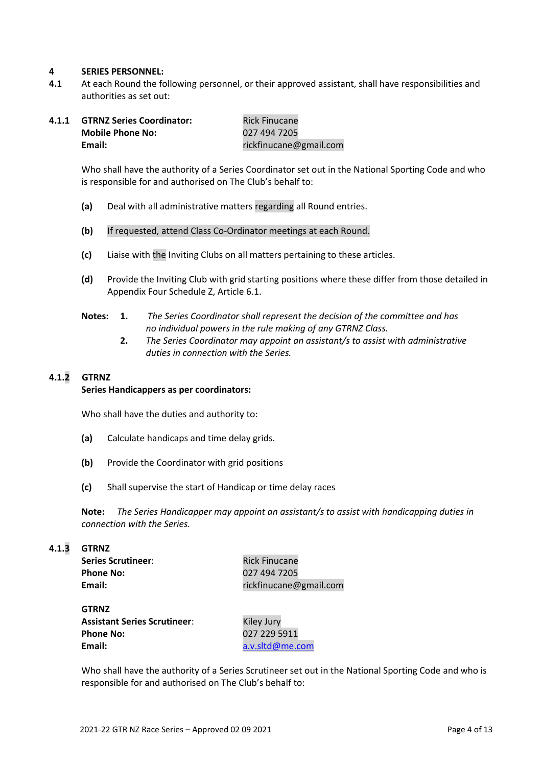#### **4 SERIES PERSONNEL:**

**4.1** At each Round the following personnel, or their approved assistant, shall have responsibilities and authorities as set out:

| 4.1.1 | <b>GTRNZ Series Coordinator:</b> | <b>Rick Finucane</b>   |
|-------|----------------------------------|------------------------|
|       | <b>Mobile Phone No:</b>          | 027 494 7205           |
|       | Email:                           | rickfinucane@gmail.com |

Who shall have the authority of a Series Coordinator set out in the National Sporting Code and who is responsible for and authorised on The Club's behalf to:

- **(a)** Deal with all administrative matters regarding all Round entries.
- **(b)** If requested, attend Class Co-Ordinator meetings at each Round.
- **(c)** Liaise with the Inviting Clubs on all matters pertaining to these articles.
- **(d)** Provide the Inviting Club with grid starting positions where these differ from those detailed in Appendix Four Schedule Z, Article 6.1.
- **Notes: 1.** *The Series Coordinator shall represent the decision of the committee and has no individual powers in the rule making of any GTRNZ Class.*
	- **2.** *The Series Coordinator may appoint an assistant/s to assist with administrative duties in connection with the Series.*

# **4.1.2 GTRNZ**

#### **Series Handicappers as per coordinators:**

Who shall have the duties and authority to:

- **(a)** Calculate handicaps and time delay grids.
- **(b)** Provide the Coordinator with grid positions
- **(c)** Shall supervise the start of Handicap or time delay races

**Note:** *The Series Handicapper may appoint an assistant/s to assist with handicapping duties in connection with the Series.*

#### **4.1.3 GTRNZ**

| <b>Series Scrutineer:</b> |  |
|---------------------------|--|
| <b>Phone No:</b>          |  |
| Email:                    |  |

**Rick Finucane Phone No:** 027 494 7205 **Email:** rickfinucane@gmail.com

| <b>GTRNZ</b>                        |                 |
|-------------------------------------|-----------------|
| <b>Assistant Series Scrutineer:</b> | Kiley Jury      |
| <b>Phone No:</b>                    | 027 229 5911    |
| Email:                              | a.v.sltd@me.com |

Who shall have the authority of a Series Scrutineer set out in the National Sporting Code and who is responsible for and authorised on The Club's behalf to: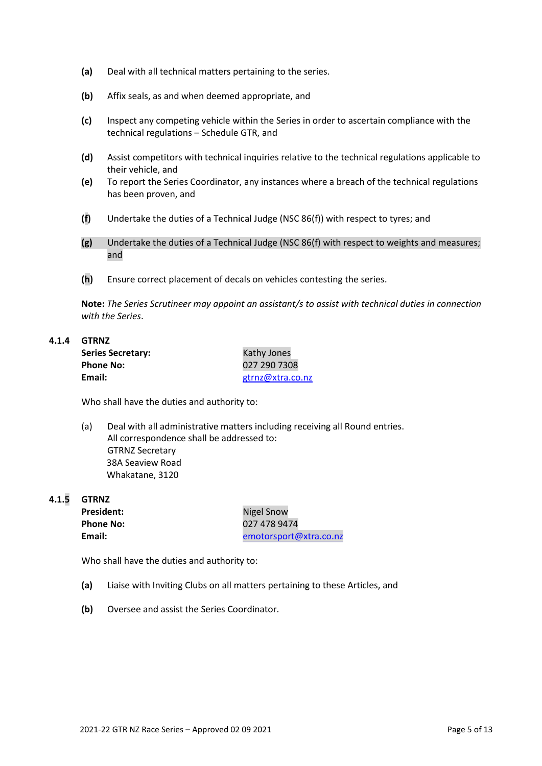- **(a)** Deal with all technical matters pertaining to the series.
- **(b)** Affix seals, as and when deemed appropriate, and
- **(c)** Inspect any competing vehicle within the Series in order to ascertain compliance with the technical regulations – Schedule GTR, and
- **(d)** Assist competitors with technical inquiries relative to the technical regulations applicable to their vehicle, and
- **(e)** To report the Series Coordinator, any instances where a breach of the technical regulations has been proven, and
- **(f)** Undertake the duties of a Technical Judge (NSC 86(f)) with respect to tyres; and
- **(g)** Undertake the duties of a Technical Judge (NSC 86(f) with respect to weights and measures; and
- **(h)** Ensure correct placement of decals on vehicles contesting the series.

**Note:** *The Series Scrutineer may appoint an assistant/s to assist with technical duties in connection with the Series*.

#### **4.1.4 GTRNZ**

| <b>Series Secretary:</b> | Kathy Jones      |
|--------------------------|------------------|
| <b>Phone No:</b>         | 027 290 7308     |
| Email:                   | gtrnz@xtra.co.nz |

Who shall have the duties and authority to:

(a) Deal with all administrative matters including receiving all Round entries. All correspondence shall be addressed to: GTRNZ Secretary 38A Seaview Road Whakatane, 3120

**4.1.5 GTRNZ**

President: Nigel Snow

**Phone No:** 027 478 9474 **Email:** [emotorsport@xtra.co.nz](mailto:emotorsport@xtra.co.nz)

Who shall have the duties and authority to:

- **(a)** Liaise with Inviting Clubs on all matters pertaining to these Articles, and
- **(b)** Oversee and assist the Series Coordinator.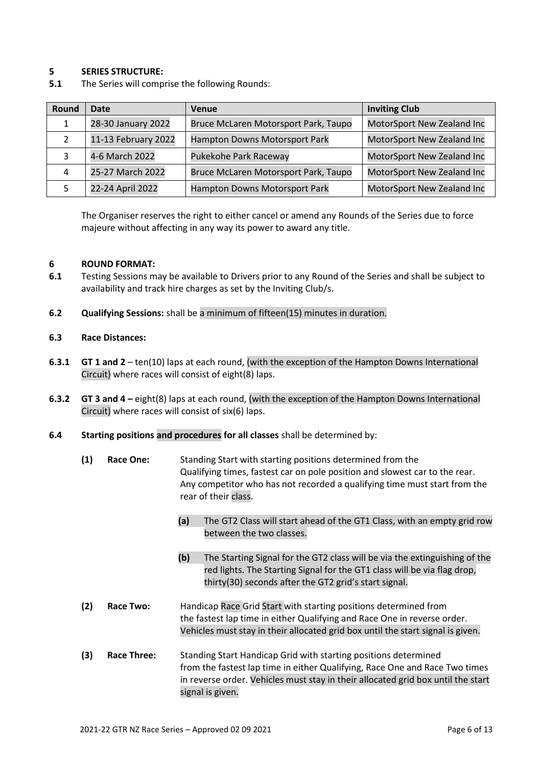## **5 SERIES STRUCTURE:**

**5.1** The Series will comprise the following Rounds:

| Round | Date                | Venue                                | <b>Inviting Club</b>       |
|-------|---------------------|--------------------------------------|----------------------------|
| 1     | 28-30 January 2022  | Bruce McLaren Motorsport Park, Taupo | MotorSport New Zealand Inc |
|       | 11-13 February 2022 | Hampton Downs Motorsport Park        | MotorSport New Zealand Inc |
|       | 4-6 March 2022      | Pukekohe Park Raceway                | MotorSport New Zealand Inc |
| 4     | 25-27 March 2022    | Bruce McLaren Motorsport Park, Taupo | MotorSport New Zealand Inc |
|       | 22-24 April 2022    | Hampton Downs Motorsport Park        | MotorSport New Zealand Inc |

The Organiser reserves the right to either cancel or amend any Rounds of the Series due to force majeure without affecting in any way its power to award any title.

#### **6 ROUND FORMAT:**

- **6.1** Testing Sessions may be available to Drivers prior to any Round of the Series and shall be subject to availability and track hire charges as set by the Inviting Club/s.
- **6.2 Qualifying Sessions:** shall be a minimum of fifteen(15) minutes in duration.

#### **6.3 Race Distances:**

- **6.3.1 GT 1 and 2** ten(10) laps at each round, (with the exception of the Hampton Downs International Circuit) where races will consist of eight(8) laps.
- **6.3.2 GT 3 and 4 –** eight(8) laps at each round, (with the exception of the Hampton Downs International Circuit) where races will consist of six(6) laps.
- **6.4 Starting positions and procedures for all classes** shall be determined by:

| (1) | <b>Race One:</b>   | Standing Start with starting positions determined from the<br>Qualifying times, fastest car on pole position and slowest car to the rear.<br>Any competitor who has not recorded a qualifying time must start from the<br>rear of their class.         |  |
|-----|--------------------|--------------------------------------------------------------------------------------------------------------------------------------------------------------------------------------------------------------------------------------------------------|--|
|     |                    | The GT2 Class will start ahead of the GT1 Class, with an empty grid row<br>(a)<br>between the two classes.                                                                                                                                             |  |
|     |                    | (b)<br>The Starting Signal for the GT2 class will be via the extinguishing of the<br>red lights. The Starting Signal for the GT1 class will be via flag drop,<br>thirty(30) seconds after the GT2 grid's start signal.                                 |  |
| (2) | Race Two:          | Handicap Race Grid Start with starting positions determined from<br>the fastest lap time in either Qualifying and Race One in reverse order.<br>Vehicles must stay in their allocated grid box until the start signal is given.                        |  |
| (3) | <b>Race Three:</b> | Standing Start Handicap Grid with starting positions determined<br>from the fastest lap time in either Qualifying, Race One and Race Two times<br>in reverse order. Vehicles must stay in their allocated grid box until the start<br>signal is given. |  |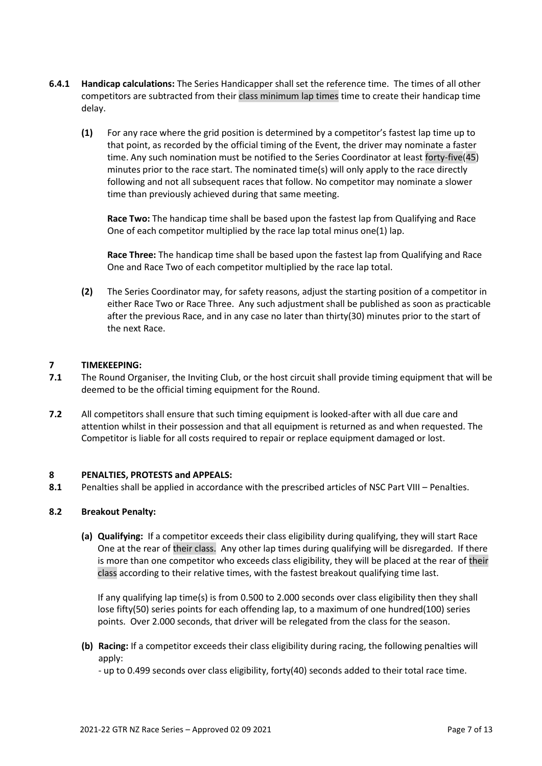- **6.4.1 Handicap calculations:** The Series Handicapper shall set the reference time. The times of all other competitors are subtracted from their class minimum lap times time to create their handicap time delay.
	- **(1)** For any race where the grid position is determined by a competitor's fastest lap time up to that point, as recorded by the official timing of the Event, the driver may nominate a faster time. Any such nomination must be notified to the Series Coordinator at least forty-five(45) minutes prior to the race start. The nominated time(s) will only apply to the race directly following and not all subsequent races that follow. No competitor may nominate a slower time than previously achieved during that same meeting.

**Race Two:** The handicap time shall be based upon the fastest lap from Qualifying and Race One of each competitor multiplied by the race lap total minus one(1) lap.

**Race Three:** The handicap time shall be based upon the fastest lap from Qualifying and Race One and Race Two of each competitor multiplied by the race lap total.

**(2)** The Series Coordinator may, for safety reasons, adjust the starting position of a competitor in either Race Two or Race Three. Any such adjustment shall be published as soon as practicable after the previous Race, and in any case no later than thirty(30) minutes prior to the start of the next Race.

# **7 TIMEKEEPING:**

- **7.1** The Round Organiser, the Inviting Club, or the host circuit shall provide timing equipment that will be deemed to be the official timing equipment for the Round.
- **7.2** All competitors shall ensure that such timing equipment is looked-after with all due care and attention whilst in their possession and that all equipment is returned as and when requested. The Competitor is liable for all costs required to repair or replace equipment damaged or lost.

## **8 PENALTIES, PROTESTS and APPEALS:**

**8.1** Penalties shall be applied in accordance with the prescribed articles of NSC Part VIII – Penalties.

## **8.2 Breakout Penalty:**

**(a) Qualifying:** If a competitor exceeds their class eligibility during qualifying, they will start Race One at the rear of their class. Any other lap times during qualifying will be disregarded. If there is more than one competitor who exceeds class eligibility, they will be placed at the rear of their class according to their relative times, with the fastest breakout qualifying time last.

If any qualifying lap time(s) is from 0.500 to 2.000 seconds over class eligibility then they shall lose fifty(50) series points for each offending lap, to a maximum of one hundred(100) series points. Over 2.000 seconds, that driver will be relegated from the class for the season.

**(b) Racing:** If a competitor exceeds their class eligibility during racing, the following penalties will apply:

- up to 0.499 seconds over class eligibility, forty(40) seconds added to their total race time.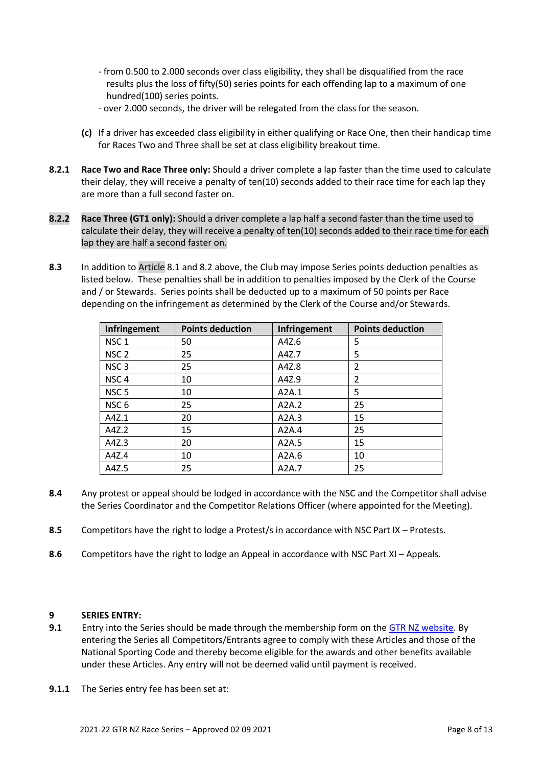- from 0.500 to 2.000 seconds over class eligibility, they shall be disqualified from the race results plus the loss of fifty(50) series points for each offending lap to a maximum of one hundred(100) series points.
- over 2.000 seconds, the driver will be relegated from the class for the season.
- **(c)** If a driver has exceeded class eligibility in either qualifying or Race One, then their handicap time for Races Two and Three shall be set at class eligibility breakout time.
- **8.2.1 Race Two and Race Three only:** Should a driver complete a lap faster than the time used to calculate their delay, they will receive a penalty of ten(10) seconds added to their race time for each lap they are more than a full second faster on.
- **8.2.2 Race Three (GT1 only):** Should a driver complete a lap half a second faster than the time used to calculate their delay, they will receive a penalty of ten(10) seconds added to their race time for each lap they are half a second faster on.
- **8.3** In addition to Article 8.1 and 8.2 above, the Club may impose Series points deduction penalties as listed below. These penalties shall be in addition to penalties imposed by the Clerk of the Course and / or Stewards. Series points shall be deducted up to a maximum of 50 points per Race depending on the infringement as determined by the Clerk of the Course and/or Stewards.

| Infringement     | <b>Points deduction</b> | Infringement | <b>Points deduction</b> |
|------------------|-------------------------|--------------|-------------------------|
| NSC <sub>1</sub> | 50                      | A4Z.6        | 5                       |
| NSC <sub>2</sub> | 25                      | A4Z.7        | 5                       |
| NSC <sub>3</sub> | 25                      | A4Z.8        | $\overline{2}$          |
| NSC <sub>4</sub> | 10                      | A4Z.9        | $\overline{2}$          |
| NSC <sub>5</sub> | 10                      | A2A.1        | 5                       |
| NSC <sub>6</sub> | 25                      | A2A.2        | 25                      |
| A4Z.1            | 20                      | A2A.3        | 15                      |
| A4Z.2            | 15                      | A2A.4        | 25                      |
| A4Z.3            | 20                      | A2A.5        | 15                      |
| A4Z.4            | 10                      | A2A.6        | 10                      |
| A4Z.5            | 25                      | A2A.7        | 25                      |

- **8.4** Any protest or appeal should be lodged in accordance with the NSC and the Competitor shall advise the Series Coordinator and the Competitor Relations Officer (where appointed for the Meeting).
- **8.5** Competitors have the right to lodge a Protest/s in accordance with NSC Part IX Protests.
- **8.6** Competitors have the right to lodge an Appeal in accordance with NSC Part XI Appeals.

## **9 SERIES ENTRY:**

- **9.1** Entry into the Series should be made through the membership form on the [GTR NZ website.](https://www.gtrnz.co.nz/) By entering the Series all Competitors/Entrants agree to comply with these Articles and those of the National Sporting Code and thereby become eligible for the awards and other benefits available under these Articles. Any entry will not be deemed valid until payment is received.
- **9.1.1** The Series entry fee has been set at: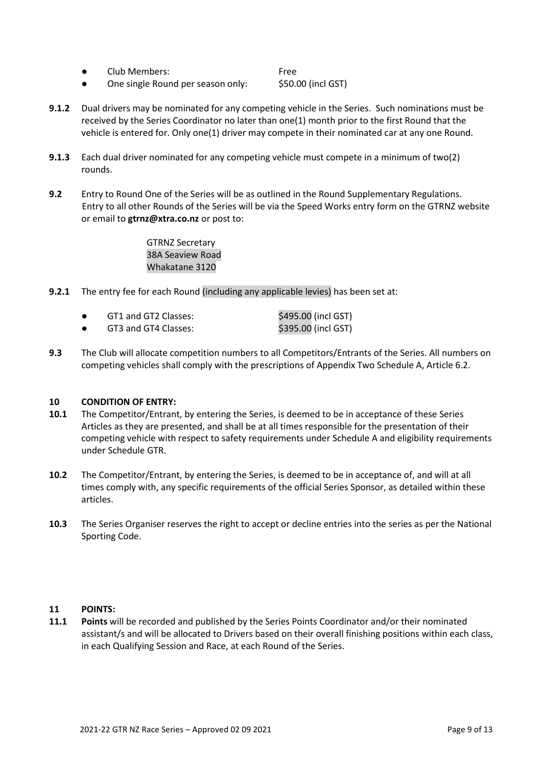● Club Members: Free

● One single Round per season only: \$50.00 (incl GST)

- **9.1.2** Dual drivers may be nominated for any competing vehicle in the Series. Such nominations must be received by the Series Coordinator no later than one(1) month prior to the first Round that the vehicle is entered for. Only one(1) driver may compete in their nominated car at any one Round.
- **9.1.3** Each dual driver nominated for any competing vehicle must compete in a minimum of two(2) rounds.
- **9.2** Entry to Round One of the Series will be as outlined in the Round Supplementary Regulations. Entry to all other Rounds of the Series will be via the Speed Works entry form on the GTRNZ website or email to **gtrnz@xtra.co.nz** or post to:

GTRNZ Secretary 38A Seaview Road Whakatane 3120

- **9.2.1** The entry fee for each Round (including any applicable levies) has been set at:
	- GT1 and GT2 Classes: \$495.00 (incl GST) ● GT3 and GT4 Classes: \$395.00 (incl GST)
- **9.3** The Club will allocate competition numbers to all Competitors/Entrants of the Series. All numbers on competing vehicles shall comply with the prescriptions of Appendix Two Schedule A, Article 6.2.

## **10 CONDITION OF ENTRY:**

- **10.1** The Competitor/Entrant, by entering the Series, is deemed to be in acceptance of these Series Articles as they are presented, and shall be at all times responsible for the presentation of their competing vehicle with respect to safety requirements under Schedule A and eligibility requirements under Schedule GTR.
- **10.2** The Competitor/Entrant, by entering the Series, is deemed to be in acceptance of, and will at all times comply with, any specific requirements of the official Series Sponsor, as detailed within these articles.
- **10.3** The Series Organiser reserves the right to accept or decline entries into the series as per the National Sporting Code.

## **11 POINTS:**

**11.1 Points** will be recorded and published by the Series Points Coordinator and/or their nominated assistant/s and will be allocated to Drivers based on their overall finishing positions within each class, in each Qualifying Session and Race, at each Round of the Series.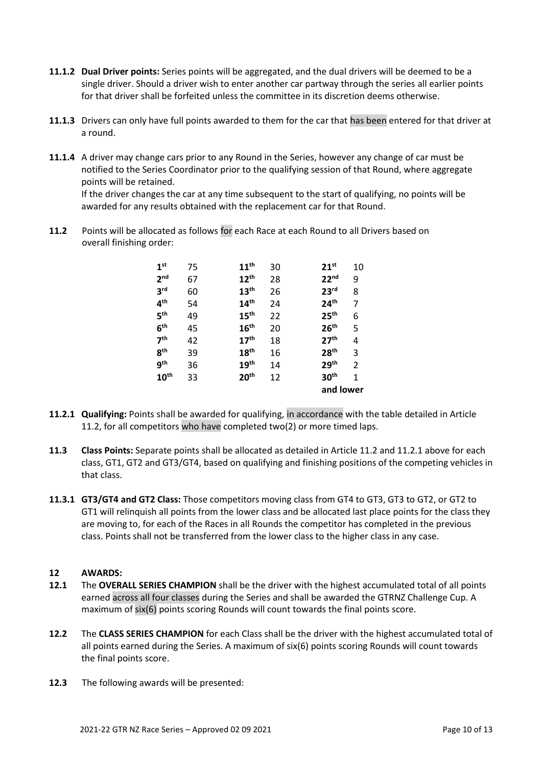- **11.1.2 Dual Driver points:** Series points will be aggregated, and the dual drivers will be deemed to be a single driver. Should a driver wish to enter another car partway through the series all earlier points for that driver shall be forfeited unless the committee in its discretion deems otherwise.
- **11.1.3** Drivers can only have full points awarded to them for the car that has been entered for that driver at a round.
- **11.1.4** A driver may change cars prior to any Round in the Series, however any change of car must be notified to the Series Coordinator prior to the qualifying session of that Round, where aggregate points will be retained.

If the driver changes the car at any time subsequent to the start of qualifying, no points will be awarded for any results obtained with the replacement car for that Round.

**11.2** Points will be allocated as follows for each Race at each Round to all Drivers based on overall finishing order:

| 1 <sup>st</sup>  | 75 | $11^{\text{th}}$ | 30 | $21^{st}$        | 10 |
|------------------|----|------------------|----|------------------|----|
| 2 <sub>nd</sub>  | 67 | $12^{\text{th}}$ | 28 | 22 <sup>nd</sup> | 9  |
| 3 <sup>rd</sup>  | 60 | 13 <sup>th</sup> | 26 | 23 <sup>rd</sup> | 8  |
| 4 <sup>th</sup>  | 54 | 14 <sup>th</sup> | 24 | 24 <sup>th</sup> | 7  |
| 5 <sup>th</sup>  | 49 | 15 <sup>th</sup> | 22 | 25 <sup>th</sup> | 6  |
| 6 <sup>th</sup>  | 45 | 16 <sup>th</sup> | 20 | 26 <sup>th</sup> | 5  |
| 7 <sup>th</sup>  | 42 | 17 <sup>th</sup> | 18 | 27 <sup>th</sup> | 4  |
| 8 <sup>th</sup>  | 39 | 18 <sup>th</sup> | 16 | 28 <sup>th</sup> | 3  |
| 9 <sup>th</sup>  | 36 | 19 <sup>th</sup> | 14 | 29 <sup>th</sup> | 2  |
| 10 <sup>th</sup> | 33 | 20 <sup>th</sup> | 12 | 30 <sup>th</sup> | 1  |
|                  |    |                  |    | and lower        |    |

- **11.2.1 Qualifying:** Points shall be awarded for qualifying, in accordance with the table detailed in Article 11.2, for all competitors who have completed two(2) or more timed laps.
- **11.3 Class Points:** Separate points shall be allocated as detailed in Article 11.2 and 11.2.1 above for each class, GT1, GT2 and GT3/GT4, based on qualifying and finishing positions of the competing vehicles in that class.
- **11.3.1 GT3/GT4 and GT2 Class:** Those competitors moving class from GT4 to GT3, GT3 to GT2, or GT2 to GT1 will relinquish all points from the lower class and be allocated last place points for the class they are moving to, for each of the Races in all Rounds the competitor has completed in the previous class. Points shall not be transferred from the lower class to the higher class in any case.

## **12 AWARDS:**

- **12.1** The **OVERALL SERIES CHAMPION** shall be the driver with the highest accumulated total of all points earned across all four classes during the Series and shall be awarded the GTRNZ Challenge Cup. A maximum of six(6) points scoring Rounds will count towards the final points score.
- **12.2** The **CLASS SERIES CHAMPION** for each Class shall be the driver with the highest accumulated total of all points earned during the Series. A maximum of six(6) points scoring Rounds will count towards the final points score.
- **12.3** The following awards will be presented: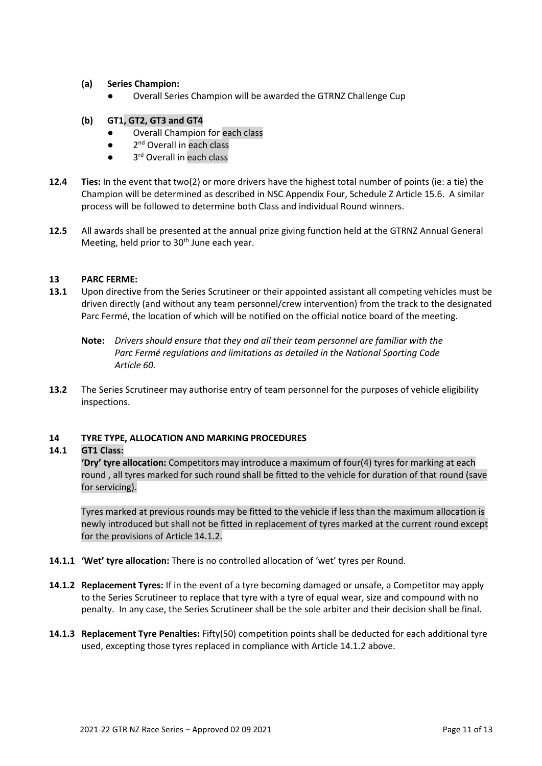- **(a) Series Champion:**
	- Overall Series Champion will be awarded the GTRNZ Challenge Cup
- **(b) GT1, GT2, GT3 and GT4**
	- Overall Champion for each class
	- $\bullet$ 2<sup>nd</sup> Overall in each class
	- 3<sup>rd</sup> Overall in each class
- **12.4 Ties:** In the event that two(2) or more drivers have the highest total number of points (ie: a tie) the Champion will be determined as described in NSC Appendix Four, Schedule Z Article 15.6. A similar process will be followed to determine both Class and individual Round winners.
- **12.5** All awards shall be presented at the annual prize giving function held at the GTRNZ Annual General Meeting, held prior to 30<sup>th</sup> June each year.

## **13 PARC FERME:**

- **13.1** Upon directive from the Series Scrutineer or their appointed assistant all competing vehicles must be driven directly (and without any team personnel/crew intervention) from the track to the designated Parc Fermé, the location of which will be notified on the official notice board of the meeting.
	- **Note:** *Drivers should ensure that they and all their team personnel are familiar with the Parc Fermé regulations and limitations as detailed in the National Sporting Code Article 60.*
- **13.2** The Series Scrutineer may authorise entry of team personnel for the purposes of vehicle eligibility inspections.

## **14 TYRE TYPE, ALLOCATION AND MARKING PROCEDURES**

## **14.1 GT1 Class:**

**'Dry' tyre allocation:** Competitors may introduce a maximum of four(4) tyres for marking at each round , all tyres marked for such round shall be fitted to the vehicle for duration of that round (save for servicing).

Tyres marked at previous rounds may be fitted to the vehicle if less than the maximum allocation is newly introduced but shall not be fitted in replacement of tyres marked at the current round except for the provisions of Article 14.1.2.

- **14.1.1 'Wet' tyre allocation:** There is no controlled allocation of 'wet' tyres per Round.
- **14.1.2 Replacement Tyres:** If in the event of a tyre becoming damaged or unsafe, a Competitor may apply to the Series Scrutineer to replace that tyre with a tyre of equal wear, size and compound with no penalty. In any case, the Series Scrutineer shall be the sole arbiter and their decision shall be final.
- **14.1.3 Replacement Tyre Penalties:** Fifty(50) competition points shall be deducted for each additional tyre used, excepting those tyres replaced in compliance with Article 14.1.2 above.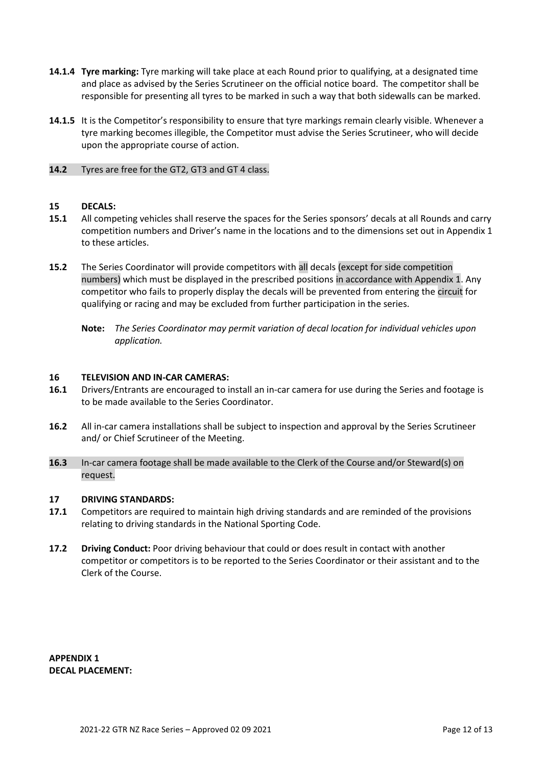- **14.1.4 Tyre marking:** Tyre marking will take place at each Round prior to qualifying, at a designated time and place as advised by the Series Scrutineer on the official notice board. The competitor shall be responsible for presenting all tyres to be marked in such a way that both sidewalls can be marked.
- **14.1.5** It is the Competitor's responsibility to ensure that tyre markings remain clearly visible. Whenever a tyre marking becomes illegible, the Competitor must advise the Series Scrutineer, who will decide upon the appropriate course of action.
- **14.2** Tyres are free for the GT2, GT3 and GT 4 class.

#### **15 DECALS:**

- **15.1** All competing vehicles shall reserve the spaces for the Series sponsors' decals at all Rounds and carry competition numbers and Driver's name in the locations and to the dimensions set out in Appendix 1 to these articles.
- **15.2** The Series Coordinator will provide competitors with all decals (except for side competition numbers) which must be displayed in the prescribed positions in accordance with Appendix 1. Any competitor who fails to properly display the decals will be prevented from entering the circuit for qualifying or racing and may be excluded from further participation in the series.
	- **Note:** *The Series Coordinator may permit variation of decal location for individual vehicles upon application.*

#### **16 TELEVISION AND IN-CAR CAMERAS:**

- **16.1** Drivers/Entrants are encouraged to install an in-car camera for use during the Series and footage is to be made available to the Series Coordinator.
- **16.2** All in-car camera installations shall be subject to inspection and approval by the Series Scrutineer and/ or Chief Scrutineer of the Meeting.
- **16.3** In-car camera footage shall be made available to the Clerk of the Course and/or Steward(s) on request.

#### **17 DRIVING STANDARDS:**

- **17.1** Competitors are required to maintain high driving standards and are reminded of the provisions relating to driving standards in the National Sporting Code.
- **17.2 Driving Conduct:** Poor driving behaviour that could or does result in contact with another competitor or competitors is to be reported to the Series Coordinator or their assistant and to the Clerk of the Course.

**APPENDIX 1 DECAL PLACEMENT:**